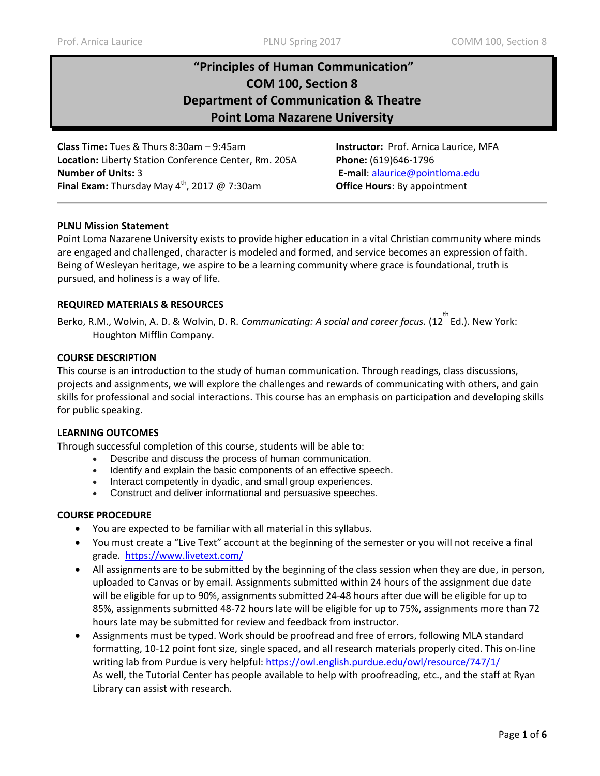# **"Principles of Human Communication" COM 100, Section 8 Department of Communication & Theatre Point Loma Nazarene University**

**Class Time:** Tues & Thurs 8:30am – 9:45am **Instructor:** Prof. Arnica Laurice, MFA **Location:** Liberty Station Conference Center, Rm. 205A **Phone:** (619)646-1796 **Number of Units:** 3 **E-mail**: [alaurice@pointloma.edu](mailto:alaurice@pointloma.edu)  **Final Exam:** Thursday May 4<sup>th</sup>, 2017 @ 7:30am **Office Hours**: By appointment

## **PLNU Mission Statement**

Point Loma Nazarene University exists to provide higher education in a vital Christian community where minds are engaged and challenged, character is modeled and formed, and service becomes an expression of faith. Being of Wesleyan heritage, we aspire to be a learning community where grace is foundational, truth is pursued, and holiness is a way of life.

#### **REQUIRED MATERIALS & RESOURCES**

Berko, R.M., Wolvin, A. D. & Wolvin, D. R. *Communicating: A social and career focus.* (12<sup>th</sup>Ed.). New York: Houghton Mifflin Company.

#### **COURSE DESCRIPTION**

This course is an introduction to the study of human communication. Through readings, class discussions, projects and assignments, we will explore the challenges and rewards of communicating with others, and gain skills for professional and social interactions. This course has an emphasis on participation and developing skills for public speaking.

#### **LEARNING OUTCOMES**

Through successful completion of this course, students will be able to:

- Describe and discuss the process of human communication.
- Identify and explain the basic components of an effective speech.
- Interact competently in dyadic, and small group experiences.
- Construct and deliver informational and persuasive speeches.

#### **COURSE PROCEDURE**

- You are expected to be familiar with all material in this syllabus.
- You must create a "Live Text" account at the beginning of the semester or you will not receive a final grade. <https://www.livetext.com/>
- All assignments are to be submitted by the beginning of the class session when they are due, in person, uploaded to Canvas or by email. Assignments submitted within 24 hours of the assignment due date will be eligible for up to 90%, assignments submitted 24-48 hours after due will be eligible for up to 85%, assignments submitted 48-72 hours late will be eligible for up to 75%, assignments more than 72 hours late may be submitted for review and feedback from instructor.
- Assignments must be typed. Work should be proofread and free of errors, following MLA standard formatting, 10-12 point font size, single spaced, and all research materials properly cited. This on-line writing lab from Purdue is very helpful:<https://owl.english.purdue.edu/owl/resource/747/1/> As well, the Tutorial Center has people available to help with proofreading, etc., and the staff at Ryan Library can assist with research.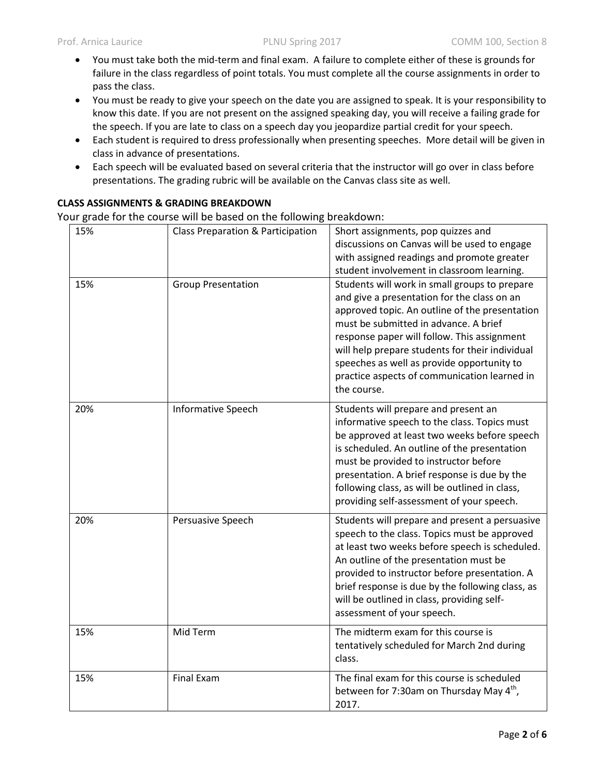- You must take both the mid-term and final exam. A failure to complete either of these is grounds for failure in the class regardless of point totals. You must complete all the course assignments in order to pass the class.
- You must be ready to give your speech on the date you are assigned to speak. It is your responsibility to know this date. If you are not present on the assigned speaking day, you will receive a failing grade for the speech. If you are late to class on a speech day you jeopardize partial credit for your speech.
- Each student is required to dress professionally when presenting speeches. More detail will be given in class in advance of presentations.
- Each speech will be evaluated based on several criteria that the instructor will go over in class before presentations. The grading rubric will be available on the Canvas class site as well.

## **CLASS ASSIGNMENTS & GRADING BREAKDOWN**

Your grade for the course will be based on the following breakdown:

| 15%<br>15% | Class Preparation & Participation<br><b>Group Presentation</b> | Short assignments, pop quizzes and<br>discussions on Canvas will be used to engage<br>with assigned readings and promote greater<br>student involvement in classroom learning.<br>Students will work in small groups to prepare<br>and give a presentation for the class on an<br>approved topic. An outline of the presentation<br>must be submitted in advance. A brief<br>response paper will follow. This assignment<br>will help prepare students for their individual<br>speeches as well as provide opportunity to |  |
|------------|----------------------------------------------------------------|---------------------------------------------------------------------------------------------------------------------------------------------------------------------------------------------------------------------------------------------------------------------------------------------------------------------------------------------------------------------------------------------------------------------------------------------------------------------------------------------------------------------------|--|
|            |                                                                | practice aspects of communication learned in<br>the course.                                                                                                                                                                                                                                                                                                                                                                                                                                                               |  |
| 20%        | <b>Informative Speech</b>                                      | Students will prepare and present an<br>informative speech to the class. Topics must<br>be approved at least two weeks before speech<br>is scheduled. An outline of the presentation<br>must be provided to instructor before<br>presentation. A brief response is due by the<br>following class, as will be outlined in class,<br>providing self-assessment of your speech.                                                                                                                                              |  |
| 20%        | Persuasive Speech                                              | Students will prepare and present a persuasive<br>speech to the class. Topics must be approved<br>at least two weeks before speech is scheduled.<br>An outline of the presentation must be<br>provided to instructor before presentation. A<br>brief response is due by the following class, as<br>will be outlined in class, providing self-<br>assessment of your speech.                                                                                                                                               |  |
| 15%        | Mid Term                                                       | The midterm exam for this course is<br>tentatively scheduled for March 2nd during<br>class.                                                                                                                                                                                                                                                                                                                                                                                                                               |  |
| 15%        | <b>Final Exam</b>                                              | The final exam for this course is scheduled<br>between for 7:30am on Thursday May 4 <sup>th</sup> ,<br>2017.                                                                                                                                                                                                                                                                                                                                                                                                              |  |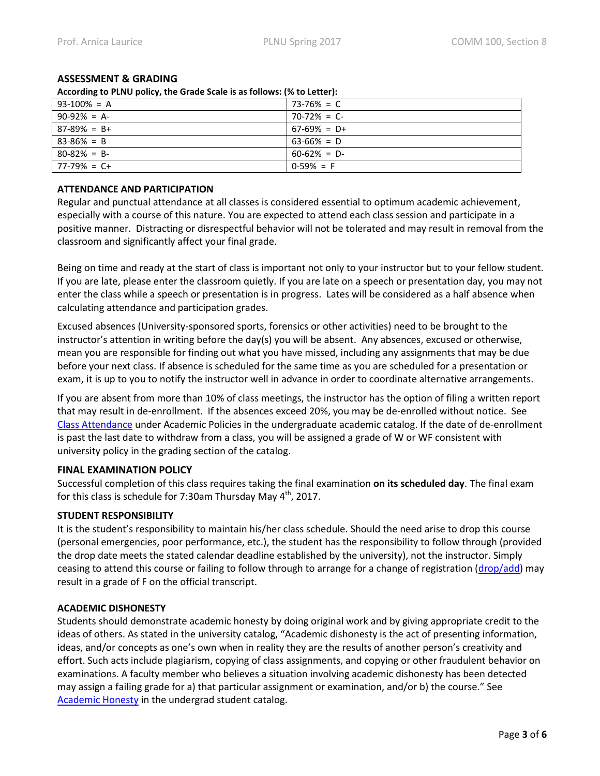## **ASSESSMENT & GRADING**

**According to PLNU policy, the Grade Scale is as follows: (% to Letter):** 

| $93-100\% = A$  | $73 - 76\% = C$ |  |  |
|-----------------|-----------------|--|--|
| $90-92\% = A$   | $70-72\% = C$   |  |  |
| $87-89% = B+$   | $67-69\% = D+$  |  |  |
| $83 - 86\% = B$ | $63 - 66\% = D$ |  |  |
| $80 - 82\% = B$ | $60-62\% = D$   |  |  |
| $177-79\% = C+$ | $0-59\% = F$    |  |  |

## **ATTENDANCE AND PARTICIPATION**

Regular and punctual attendance at all classes is considered essential to optimum academic achievement, especially with a course of this nature. You are expected to attend each class session and participate in a positive manner. Distracting or disrespectful behavior will not be tolerated and may result in removal from the classroom and significantly affect your final grade.

Being on time and ready at the start of class is important not only to your instructor but to your fellow student. If you are late, please enter the classroom quietly. If you are late on a speech or presentation day, you may not enter the class while a speech or presentation is in progress. Lates will be considered as a half absence when calculating attendance and participation grades.

Excused absences (University-sponsored sports, forensics or other activities) need to be brought to the instructor's attention in writing before the day(s) you will be absent. Any absences, excused or otherwise, mean you are responsible for finding out what you have missed, including any assignments that may be due before your next class. If absence is scheduled for the same time as you are scheduled for a presentation or exam, it is up to you to notify the instructor well in advance in order to coordinate alternative arrangements.

If you are absent from more than 10% of class meetings, the instructor has the option of filing a written report that may result in de-enrollment. If the absences exceed 20%, you may be de-enrolled without notice. See [Class Attendance](http://catalog.pointloma.edu/content.php?catoid=18&navoid=1278#Class_Attendance) under Academic Policies in the undergraduate academic catalog. If the date of de-enrollment is past the last date to withdraw from a class, you will be assigned a grade of W or WF consistent with university policy in the grading section of the catalog.

## **FINAL EXAMINATION POLICY**

Successful completion of this class requires taking the final examination **on its scheduled day**. The final exam for this class is schedule for 7:30am Thursday May  $4<sup>th</sup>$ , 2017.

## **STUDENT RESPONSIBILITY**

It is the student's responsibility to maintain his/her class schedule. Should the need arise to drop this course (personal emergencies, poor performance, etc.), the student has the responsibility to follow through (provided the drop date meets the stated calendar deadline established by the university), not the instructor. Simply ceasing to attend this course or failing to follow through to arrange for a change of registration [\(drop/add\)](http://www.pointloma.edu/sites/default/files/filemanager/Records_Office/Change_of_Schedule_Form.pdf) may result in a grade of F on the official transcript.

## **ACADEMIC DISHONESTY**

Students should demonstrate academic honesty by doing original work and by giving appropriate credit to the ideas of others. As stated in the university catalog, "Academic dishonesty is the act of presenting information, ideas, and/or concepts as one's own when in reality they are the results of another person's creativity and effort. Such acts include plagiarism, copying of class assignments, and copying or other fraudulent behavior on examinations. A faculty member who believes a situation involving academic dishonesty has been detected may assign a failing grade for a) that particular assignment or examination, and/or b) the course." See [Academic Honesty](http://catalog.pointloma.edu/content.php?catoid=18&navoid=1278#Academic_Honesty) in the undergrad student catalog.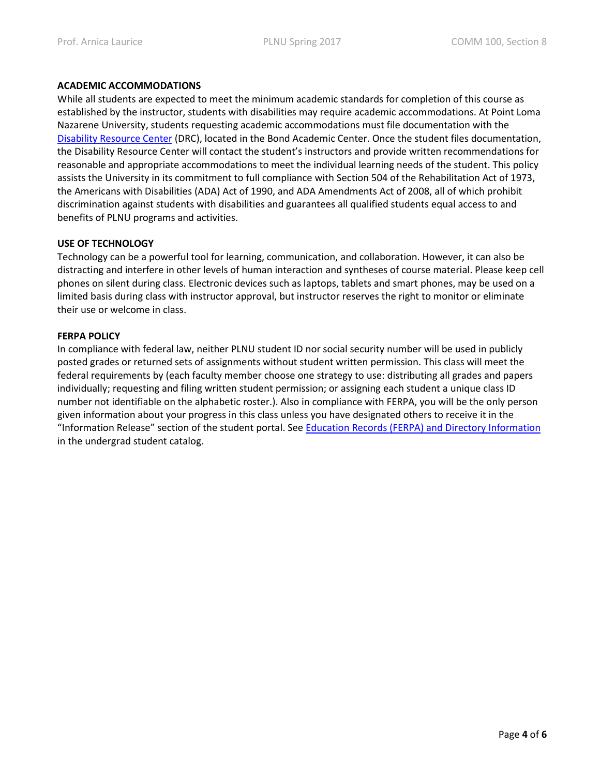#### **ACADEMIC ACCOMMODATIONS**

While all students are expected to meet the minimum academic standards for completion of this course as established by the instructor, students with disabilities may require academic accommodations. At Point Loma Nazarene University, students requesting academic accommodations must file documentation with the [Disability Resource Center](http://www.pointloma.edu/experience/offices/administrative-offices/academic-advising-office/disability-resource-center) (DRC), located in the Bond Academic Center. Once the student files documentation, the Disability Resource Center will contact the student's instructors and provide written recommendations for reasonable and appropriate accommodations to meet the individual learning needs of the student. This policy assists the University in its commitment to full compliance with Section 504 of the Rehabilitation Act of 1973, the Americans with Disabilities (ADA) Act of 1990, and ADA Amendments Act of 2008, all of which prohibit discrimination against students with disabilities and guarantees all qualified students equal access to and benefits of PLNU programs and activities.

#### **USE OF TECHNOLOGY**

Technology can be a powerful tool for learning, communication, and collaboration. However, it can also be distracting and interfere in other levels of human interaction and syntheses of course material. Please keep cell phones on silent during class. Electronic devices such as laptops, tablets and smart phones, may be used on a limited basis during class with instructor approval, but instructor reserves the right to monitor or eliminate their use or welcome in class.

#### **FERPA POLICY**

In compliance with federal law, neither PLNU student ID nor social security number will be used in publicly posted grades or returned sets of assignments without student written permission. This class will meet the federal requirements by (each faculty member choose one strategy to use: distributing all grades and papers individually; requesting and filing written student permission; or assigning each student a unique class ID number not identifiable on the alphabetic roster.). Also in compliance with FERPA, you will be the only person given information about your progress in this class unless you have designated others to receive it in the "Information Release" section of the student portal. See [Education Records \(FERPA\) and Directory Information](http://catalog.pointloma.edu/content.php?catoid=18&navoid=1278#Education_Records__FERPA__and_Directory_Information) in the undergrad student catalog.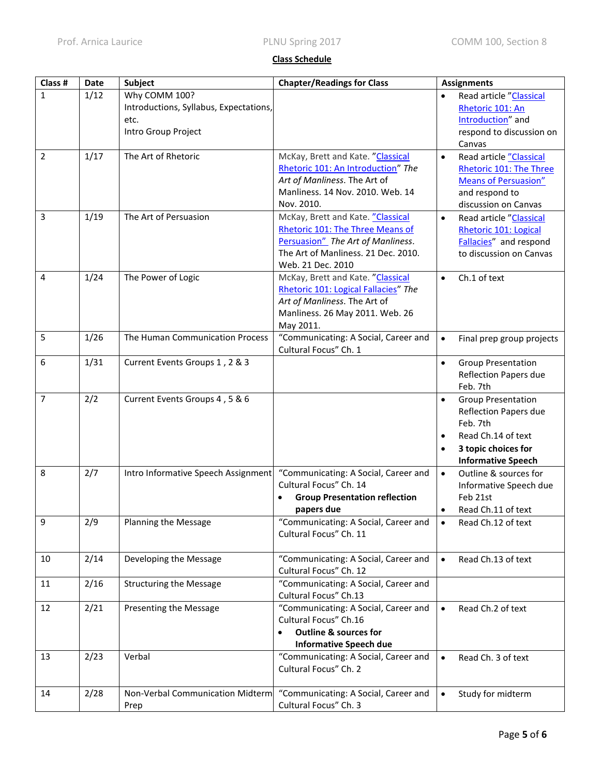## **Class Schedule**

| Class #        | Date | Subject                                                                                | <b>Chapter/Readings for Class</b>                                                                                                                                      | <b>Assignments</b>                                                                                                                                                                     |
|----------------|------|----------------------------------------------------------------------------------------|------------------------------------------------------------------------------------------------------------------------------------------------------------------------|----------------------------------------------------------------------------------------------------------------------------------------------------------------------------------------|
| $\mathbf{1}$   | 1/12 | Why COMM 100?<br>Introductions, Syllabus, Expectations,<br>etc.<br>Intro Group Project |                                                                                                                                                                        | Read article "Classical<br>Rhetoric 101: An<br>Introduction" and<br>respond to discussion on<br>Canvas                                                                                 |
| 2              | 1/17 | The Art of Rhetoric                                                                    | McKay, Brett and Kate. "Classical<br>Rhetoric 101: An Introduction" The<br>Art of Manliness. The Art of<br>Manliness. 14 Nov. 2010. Web. 14<br>Nov. 2010.              | Read article "Classical<br>$\bullet$<br>Rhetoric 101: The Three<br><b>Means of Persuasion"</b><br>and respond to<br>discussion on Canvas                                               |
| $\overline{3}$ | 1/19 | The Art of Persuasion                                                                  | McKay, Brett and Kate. "Classical<br>Rhetoric 101: The Three Means of<br>Persuasion" The Art of Manliness.<br>The Art of Manliness. 21 Dec. 2010.<br>Web. 21 Dec. 2010 | Read article "Classical<br>$\bullet$<br>Rhetoric 101: Logical<br>Fallacies" and respond<br>to discussion on Canvas                                                                     |
| 4              | 1/24 | The Power of Logic                                                                     | McKay, Brett and Kate. "Classical<br>Rhetoric 101: Logical Fallacies" The<br>Art of Manliness. The Art of<br>Manliness. 26 May 2011. Web. 26<br>May 2011.              | Ch.1 of text<br>$\bullet$                                                                                                                                                              |
| 5              | 1/26 | The Human Communication Process                                                        | "Communicating: A Social, Career and<br>Cultural Focus" Ch. 1                                                                                                          | $\bullet$<br>Final prep group projects                                                                                                                                                 |
| 6              | 1/31 | Current Events Groups 1, 2 & 3                                                         |                                                                                                                                                                        | <b>Group Presentation</b><br>$\bullet$<br>Reflection Papers due<br>Feb. 7th                                                                                                            |
| $\overline{7}$ | 2/2  | Current Events Groups 4, 5 & 6                                                         |                                                                                                                                                                        | <b>Group Presentation</b><br>$\bullet$<br><b>Reflection Papers due</b><br>Feb. 7th<br>Read Ch.14 of text<br>$\bullet$<br>3 topic choices for<br>$\bullet$<br><b>Informative Speech</b> |
| 8              | 2/7  | Intro Informative Speech Assignment                                                    | "Communicating: A Social, Career and<br>Cultural Focus" Ch. 14<br><b>Group Presentation reflection</b><br>papers due                                                   | Outline & sources for<br>$\bullet$<br>Informative Speech due<br>Feb 21st<br>Read Ch.11 of text                                                                                         |
| 9              | 2/9  | Planning the Message                                                                   | "Communicating: A Social, Career and<br>Cultural Focus" Ch. 11                                                                                                         | Read Ch.12 of text<br>$\bullet$                                                                                                                                                        |
| 10             | 2/14 | Developing the Message                                                                 | "Communicating: A Social, Career and<br>Cultural Focus" Ch. 12                                                                                                         | Read Ch.13 of text<br>$\bullet$                                                                                                                                                        |
| 11             | 2/16 | <b>Structuring the Message</b>                                                         | "Communicating: A Social, Career and<br>Cultural Focus" Ch.13                                                                                                          |                                                                                                                                                                                        |
| 12             | 2/21 | Presenting the Message                                                                 | "Communicating: A Social, Career and<br>Cultural Focus" Ch.16<br><b>Outline &amp; sources for</b><br><b>Informative Speech due</b>                                     | Read Ch.2 of text<br>$\bullet$                                                                                                                                                         |
| 13             | 2/23 | Verbal                                                                                 | "Communicating: A Social, Career and<br>Cultural Focus" Ch. 2                                                                                                          | Read Ch. 3 of text<br>$\bullet$                                                                                                                                                        |
| 14             | 2/28 | Non-Verbal Communication Midterm<br>Prep                                               | "Communicating: A Social, Career and<br>Cultural Focus" Ch. 3                                                                                                          | Study for midterm<br>$\bullet$                                                                                                                                                         |